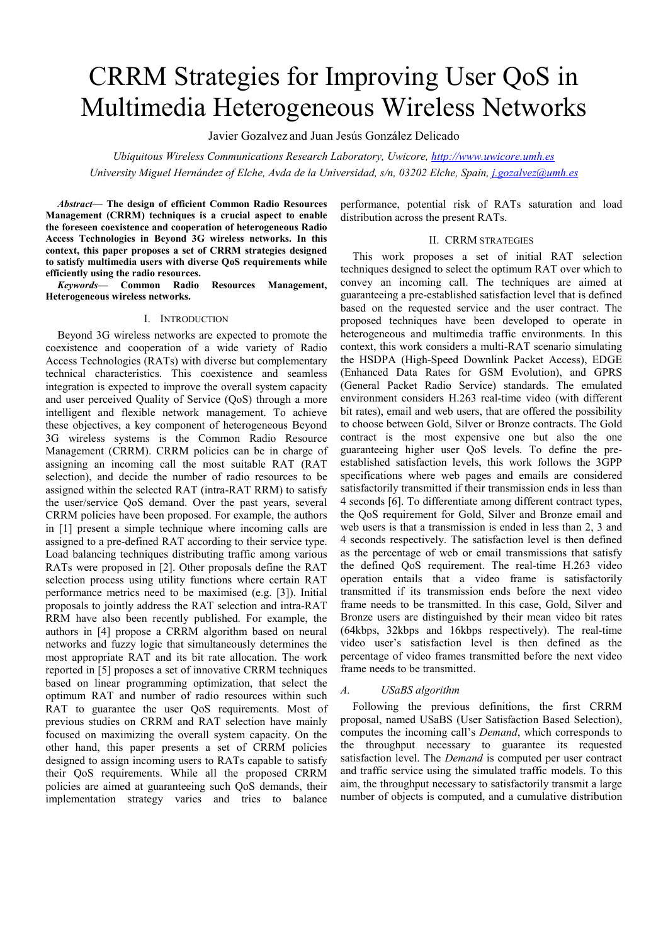# CRRM Strategies for Improving User QoS in Multimedia Heterogeneous Wireless Networks

Javier Gozalvez and Juan Jesús González Delicado

*Ubiquitous Wireless Communications Research Laboratory, Uwicore, http://www.uwicore.umh.es University Miguel Hernández of Elche, Avda de la Universidad, s/n, 03202 Elche, Spain, j.gozalvez@umh.es* 

*Abstract***— The design of efficient Common Radio Resources Management (CRRM) techniques is a crucial aspect to enable the foreseen coexistence and cooperation of heterogeneous Radio Access Technologies in Beyond 3G wireless networks. In this context, this paper proposes a set of CRRM strategies designed to satisfy multimedia users with diverse QoS requirements while efficiently using the radio resources.** 

*Keywords***— Common Radio Resources Management, Heterogeneous wireless networks.** 

#### I. INTRODUCTION

Beyond 3G wireless networks are expected to promote the coexistence and cooperation of a wide variety of Radio Access Technologies (RATs) with diverse but complementary technical characteristics. This coexistence and seamless integration is expected to improve the overall system capacity and user perceived Quality of Service (QoS) through a more intelligent and flexible network management. To achieve these objectives, a key component of heterogeneous Beyond 3G wireless systems is the Common Radio Resource Management (CRRM). CRRM policies can be in charge of assigning an incoming call the most suitable RAT (RAT selection), and decide the number of radio resources to be assigned within the selected RAT (intra-RAT RRM) to satisfy the user/service QoS demand. Over the past years, several CRRM policies have been proposed. For example, the authors in [1] present a simple technique where incoming calls are assigned to a pre-defined RAT according to their service type. Load balancing techniques distributing traffic among various RATs were proposed in [2]. Other proposals define the RAT selection process using utility functions where certain RAT performance metrics need to be maximised (e.g. [3]). Initial proposals to jointly address the RAT selection and intra-RAT RRM have also been recently published. For example, the authors in [4] propose a CRRM algorithm based on neural networks and fuzzy logic that simultaneously determines the most appropriate RAT and its bit rate allocation. The work reported in [5] proposes a set of innovative CRRM techniques based on linear programming optimization, that select the optimum RAT and number of radio resources within such RAT to guarantee the user QoS requirements. Most of previous studies on CRRM and RAT selection have mainly focused on maximizing the overall system capacity. On the other hand, this paper presents a set of CRRM policies designed to assign incoming users to RATs capable to satisfy their QoS requirements. While all the proposed CRRM policies are aimed at guaranteeing such QoS demands, their implementation strategy varies and tries to balance

performance, potential risk of RATs saturation and load distribution across the present RATs.

## II. CRRM STRATEGIES

This work proposes a set of initial RAT selection techniques designed to select the optimum RAT over which to convey an incoming call. The techniques are aimed at guaranteeing a pre-established satisfaction level that is defined based on the requested service and the user contract. The proposed techniques have been developed to operate in heterogeneous and multimedia traffic environments. In this context, this work considers a multi-RAT scenario simulating the HSDPA (High-Speed Downlink Packet Access), EDGE (Enhanced Data Rates for GSM Evolution), and GPRS (General Packet Radio Service) standards. The emulated environment considers H.263 real-time video (with different bit rates), email and web users, that are offered the possibility to choose between Gold, Silver or Bronze contracts. The Gold contract is the most expensive one but also the one guaranteeing higher user QoS levels. To define the preestablished satisfaction levels, this work follows the 3GPP specifications where web pages and emails are considered satisfactorily transmitted if their transmission ends in less than 4 seconds [6]. To differentiate among different contract types, the QoS requirement for Gold, Silver and Bronze email and web users is that a transmission is ended in less than 2, 3 and 4 seconds respectively. The satisfaction level is then defined as the percentage of web or email transmissions that satisfy the defined QoS requirement. The real-time H.263 video operation entails that a video frame is satisfactorily transmitted if its transmission ends before the next video frame needs to be transmitted. In this case, Gold, Silver and Bronze users are distinguished by their mean video bit rates (64kbps, 32kbps and 16kbps respectively). The real-time video user's satisfaction level is then defined as the percentage of video frames transmitted before the next video frame needs to be transmitted.

## *A. USaBS algorithm*

Following the previous definitions, the first CRRM proposal, named USaBS (User Satisfaction Based Selection), computes the incoming call's *Demand*, which corresponds to the throughput necessary to guarantee its requested satisfaction level. The *Demand* is computed per user contract and traffic service using the simulated traffic models. To this aim, the throughput necessary to satisfactorily transmit a large number of objects is computed, and a cumulative distribution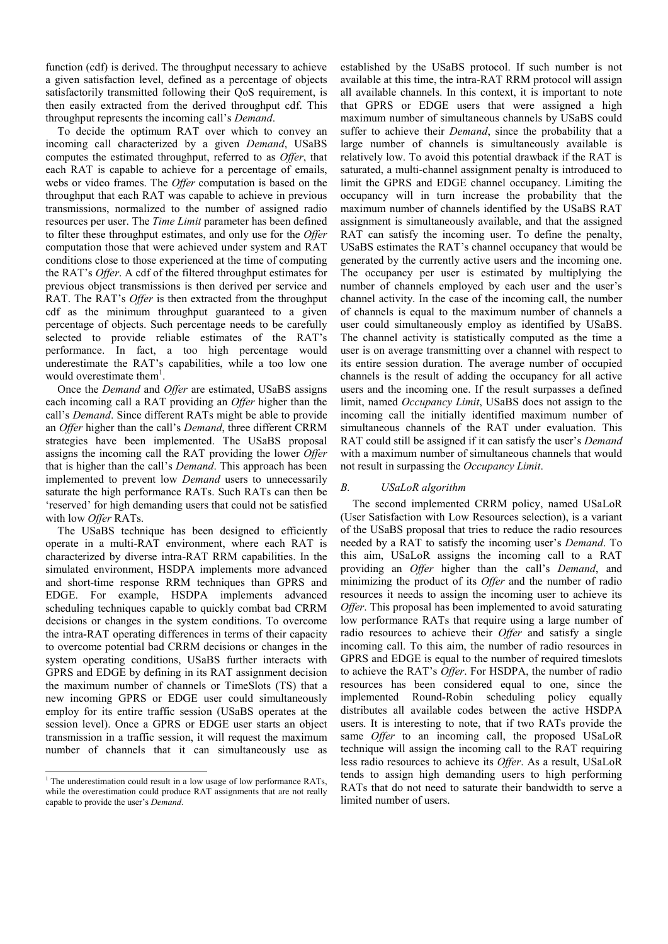function (cdf) is derived. The throughput necessary to achieve a given satisfaction level, defined as a percentage of objects satisfactorily transmitted following their QoS requirement, is then easily extracted from the derived throughput cdf. This throughput represents the incoming call's *Demand*.

To decide the optimum RAT over which to convey an incoming call characterized by a given *Demand*, USaBS computes the estimated throughput, referred to as *Offer*, that each RAT is capable to achieve for a percentage of emails, webs or video frames. The *Offer* computation is based on the throughput that each RAT was capable to achieve in previous transmissions, normalized to the number of assigned radio resources per user. The *Time Limit* parameter has been defined to filter these throughput estimates, and only use for the *Offer* computation those that were achieved under system and RAT conditions close to those experienced at the time of computing the RAT's *Offer*. A cdf of the filtered throughput estimates for previous object transmissions is then derived per service and RAT. The RAT's *Offer* is then extracted from the throughput cdf as the minimum throughput guaranteed to a given percentage of objects. Such percentage needs to be carefully selected to provide reliable estimates of the RAT's performance. In fact, a too high percentage would underestimate the RAT's capabilities, while a too low one would overestimate them<sup>1</sup>.

Once the *Demand* and *Offer* are estimated, USaBS assigns each incoming call a RAT providing an *Offer* higher than the call's *Demand*. Since different RATs might be able to provide an *Offer* higher than the call's *Demand*, three different CRRM strategies have been implemented. The USaBS proposal assigns the incoming call the RAT providing the lower *Offer* that is higher than the call's *Demand*. This approach has been implemented to prevent low *Demand* users to unnecessarily saturate the high performance RATs. Such RATs can then be 'reserved' for high demanding users that could not be satisfied with low *Offer* RATs.

The USaBS technique has been designed to efficiently operate in a multi-RAT environment, where each RAT is characterized by diverse intra-RAT RRM capabilities. In the simulated environment, HSDPA implements more advanced and short-time response RRM techniques than GPRS and EDGE. For example, HSDPA implements advanced scheduling techniques capable to quickly combat bad CRRM decisions or changes in the system conditions. To overcome the intra-RAT operating differences in terms of their capacity to overcome potential bad CRRM decisions or changes in the system operating conditions, USaBS further interacts with GPRS and EDGE by defining in its RAT assignment decision the maximum number of channels or TimeSlots (TS) that a new incoming GPRS or EDGE user could simultaneously employ for its entire traffic session (USaBS operates at the session level). Once a GPRS or EDGE user starts an object transmission in a traffic session, it will request the maximum number of channels that it can simultaneously use as

established by the USaBS protocol. If such number is not available at this time, the intra-RAT RRM protocol will assign all available channels. In this context, it is important to note that GPRS or EDGE users that were assigned a high maximum number of simultaneous channels by USaBS could suffer to achieve their *Demand*, since the probability that a large number of channels is simultaneously available is relatively low. To avoid this potential drawback if the RAT is saturated, a multi-channel assignment penalty is introduced to limit the GPRS and EDGE channel occupancy. Limiting the occupancy will in turn increase the probability that the maximum number of channels identified by the USaBS RAT assignment is simultaneously available, and that the assigned RAT can satisfy the incoming user. To define the penalty, USaBS estimates the RAT's channel occupancy that would be generated by the currently active users and the incoming one. The occupancy per user is estimated by multiplying the number of channels employed by each user and the user's channel activity. In the case of the incoming call, the number of channels is equal to the maximum number of channels a user could simultaneously employ as identified by USaBS. The channel activity is statistically computed as the time a user is on average transmitting over a channel with respect to its entire session duration. The average number of occupied channels is the result of adding the occupancy for all active users and the incoming one. If the result surpasses a defined limit, named *Occupancy Limit*, USaBS does not assign to the incoming call the initially identified maximum number of simultaneous channels of the RAT under evaluation. This RAT could still be assigned if it can satisfy the user's *Demand* with a maximum number of simultaneous channels that would not result in surpassing the *Occupancy Limit*.

## *B. USaLoR algorithm*

The second implemented CRRM policy, named USaLoR (User Satisfaction with Low Resources selection), is a variant of the USaBS proposal that tries to reduce the radio resources needed by a RAT to satisfy the incoming user's *Demand*. To this aim, USaLoR assigns the incoming call to a RAT providing an *Offer* higher than the call's *Demand*, and minimizing the product of its *Offer* and the number of radio resources it needs to assign the incoming user to achieve its *Offer*. This proposal has been implemented to avoid saturating low performance RATs that require using a large number of radio resources to achieve their *Offer* and satisfy a single incoming call. To this aim, the number of radio resources in GPRS and EDGE is equal to the number of required timeslots to achieve the RAT's *Offer*. For HSDPA, the number of radio resources has been considered equal to one, since the implemented Round-Robin scheduling policy equally distributes all available codes between the active HSDPA users. It is interesting to note, that if two RATs provide the same *Offer* to an incoming call, the proposed USaLoR technique will assign the incoming call to the RAT requiring less radio resources to achieve its *Offer*. As a result, USaLoR tends to assign high demanding users to high performing RATs that do not need to saturate their bandwidth to serve a limited number of users.

<sup>&</sup>lt;sup>1</sup> The underestimation could result in a low usage of low performance RATs, while the overestimation could produce RAT assignments that are not really capable to provide the user's *Demand*.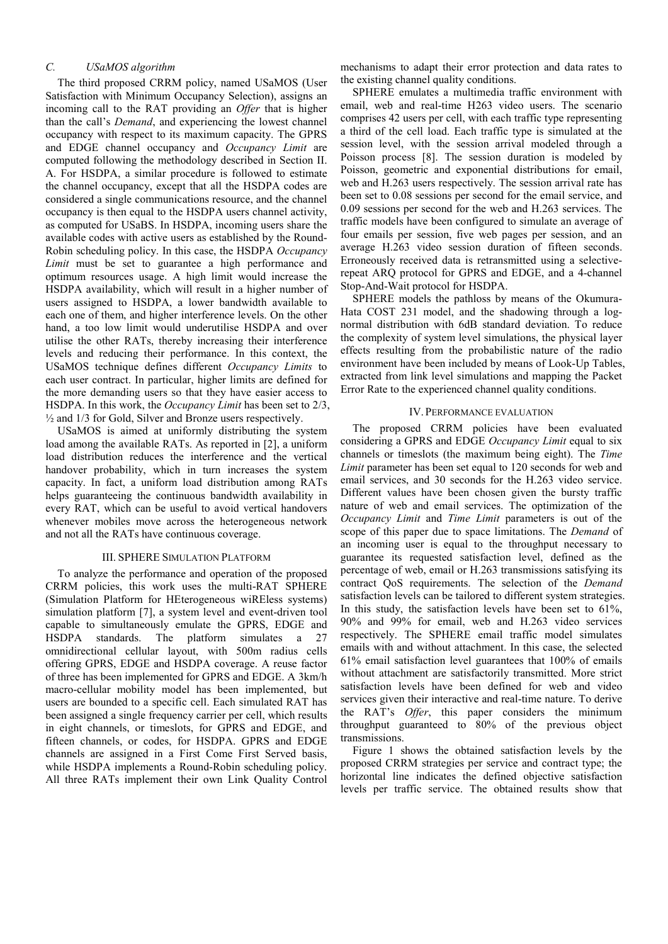## *C. USaMOS algorithm*

The third proposed CRRM policy, named USaMOS (User Satisfaction with Minimum Occupancy Selection), assigns an incoming call to the RAT providing an *Offer* that is higher than the call's *Demand*, and experiencing the lowest channel occupancy with respect to its maximum capacity. The GPRS and EDGE channel occupancy and *Occupancy Limit* are computed following the methodology described in Section II. A. For HSDPA, a similar procedure is followed to estimate the channel occupancy, except that all the HSDPA codes are considered a single communications resource, and the channel occupancy is then equal to the HSDPA users channel activity, as computed for USaBS. In HSDPA, incoming users share the available codes with active users as established by the Round-Robin scheduling policy. In this case, the HSDPA *Occupancy Limit* must be set to guarantee a high performance and optimum resources usage. A high limit would increase the HSDPA availability, which will result in a higher number of users assigned to HSDPA, a lower bandwidth available to each one of them, and higher interference levels. On the other hand, a too low limit would underutilise HSDPA and over utilise the other RATs, thereby increasing their interference levels and reducing their performance. In this context, the USaMOS technique defines different *Occupancy Limits* to each user contract. In particular, higher limits are defined for the more demanding users so that they have easier access to HSDPA. In this work, the *Occupancy Limit* has been set to 2/3, ½ and 1/3 for Gold, Silver and Bronze users respectively.

USaMOS is aimed at uniformly distributing the system load among the available RATs. As reported in [2], a uniform load distribution reduces the interference and the vertical handover probability, which in turn increases the system capacity. In fact, a uniform load distribution among RATs helps guaranteeing the continuous bandwidth availability in every RAT, which can be useful to avoid vertical handovers whenever mobiles move across the heterogeneous network and not all the RATs have continuous coverage.

## III. SPHERE SIMULATION PLATFORM

To analyze the performance and operation of the proposed CRRM policies, this work uses the multi-RAT SPHERE (Simulation Platform for HEterogeneous wiREless systems) simulation platform [7], a system level and event-driven tool capable to simultaneously emulate the GPRS, EDGE and HSDPA standards. The platform simulates a 27 omnidirectional cellular layout, with 500m radius cells offering GPRS, EDGE and HSDPA coverage. A reuse factor of three has been implemented for GPRS and EDGE. A 3km/h macro-cellular mobility model has been implemented, but users are bounded to a specific cell. Each simulated RAT has been assigned a single frequency carrier per cell, which results in eight channels, or timeslots, for GPRS and EDGE, and fifteen channels, or codes, for HSDPA. GPRS and EDGE channels are assigned in a First Come First Served basis, while HSDPA implements a Round-Robin scheduling policy. All three RATs implement their own Link Quality Control

mechanisms to adapt their error protection and data rates to the existing channel quality conditions.

SPHERE emulates a multimedia traffic environment with email, web and real-time H263 video users. The scenario comprises 42 users per cell, with each traffic type representing a third of the cell load. Each traffic type is simulated at the session level, with the session arrival modeled through a Poisson process [8]. The session duration is modeled by Poisson, geometric and exponential distributions for email, web and H.263 users respectively. The session arrival rate has been set to 0.08 sessions per second for the email service, and 0.09 sessions per second for the web and H.263 services. The traffic models have been configured to simulate an average of four emails per session, five web pages per session, and an average H.263 video session duration of fifteen seconds. Erroneously received data is retransmitted using a selectiverepeat ARQ protocol for GPRS and EDGE, and a 4-channel Stop-And-Wait protocol for HSDPA.

SPHERE models the pathloss by means of the Okumura-Hata COST 231 model, and the shadowing through a lognormal distribution with 6dB standard deviation. To reduce the complexity of system level simulations, the physical layer effects resulting from the probabilistic nature of the radio environment have been included by means of Look-Up Tables, extracted from link level simulations and mapping the Packet Error Rate to the experienced channel quality conditions.

#### IV.PERFORMANCE EVALUATION

The proposed CRRM policies have been evaluated considering a GPRS and EDGE *Occupancy Limit* equal to six channels or timeslots (the maximum being eight). The *Time Limit* parameter has been set equal to 120 seconds for web and email services, and 30 seconds for the H.263 video service. Different values have been chosen given the bursty traffic nature of web and email services. The optimization of the *Occupancy Limit* and *Time Limit* parameters is out of the scope of this paper due to space limitations. The *Demand* of an incoming user is equal to the throughput necessary to guarantee its requested satisfaction level, defined as the percentage of web, email or H.263 transmissions satisfying its contract QoS requirements. The selection of the *Demand* satisfaction levels can be tailored to different system strategies. In this study, the satisfaction levels have been set to 61%, 90% and 99% for email, web and H.263 video services respectively. The SPHERE email traffic model simulates emails with and without attachment. In this case, the selected 61% email satisfaction level guarantees that 100% of emails without attachment are satisfactorily transmitted. More strict satisfaction levels have been defined for web and video services given their interactive and real-time nature. To derive the RAT's *Offer*, this paper considers the minimum throughput guaranteed to 80% of the previous object transmissions.

Figure 1 shows the obtained satisfaction levels by the proposed CRRM strategies per service and contract type; the horizontal line indicates the defined objective satisfaction levels per traffic service. The obtained results show that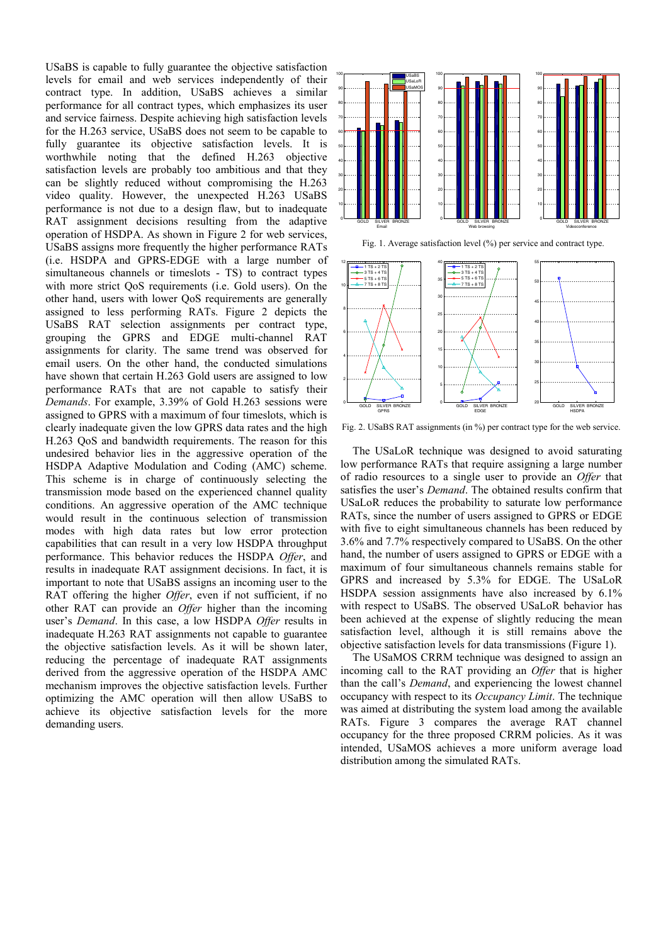USaBS is capable to fully guarantee the objective satisfaction levels for email and web services independently of their contract type. In addition, USaBS achieves a similar performance for all contract types, which emphasizes its user and service fairness. Despite achieving high satisfaction levels for the H.263 service, USaBS does not seem to be capable to fully guarantee its objective satisfaction levels. It is worthwhile noting that the defined H.263 objective satisfaction levels are probably too ambitious and that they can be slightly reduced without compromising the H.263 video quality. However, the unexpected H.263 USaBS performance is not due to a design flaw, but to inadequate RAT assignment decisions resulting from the adaptive operation of HSDPA. As shown in Figure 2 for web services, USaBS assigns more frequently the higher performance RATs (i.e. HSDPA and GPRS-EDGE with a large number of simultaneous channels or timeslots - TS) to contract types with more strict QoS requirements (i.e. Gold users). On the other hand, users with lower QoS requirements are generally assigned to less performing RATs. Figure 2 depicts the USaBS RAT selection assignments per contract type, grouping the GPRS and EDGE multi-channel RAT assignments for clarity. The same trend was observed for email users. On the other hand, the conducted simulations have shown that certain H.263 Gold users are assigned to low performance RATs that are not capable to satisfy their *Demands*. For example, 3.39% of Gold H.263 sessions were assigned to GPRS with a maximum of four timeslots, which is clearly inadequate given the low GPRS data rates and the high H.263 QoS and bandwidth requirements. The reason for this undesired behavior lies in the aggressive operation of the HSDPA Adaptive Modulation and Coding (AMC) scheme. This scheme is in charge of continuously selecting the transmission mode based on the experienced channel quality conditions. An aggressive operation of the AMC technique would result in the continuous selection of transmission modes with high data rates but low error protection capabilities that can result in a very low HSDPA throughput performance. This behavior reduces the HSDPA *Offer*, and results in inadequate RAT assignment decisions. In fact, it is important to note that USaBS assigns an incoming user to the RAT offering the higher *Offer*, even if not sufficient, if no other RAT can provide an *Offer* higher than the incoming user's *Demand*. In this case, a low HSDPA *Offer* results in inadequate H.263 RAT assignments not capable to guarantee the objective satisfaction levels. As it will be shown later, reducing the percentage of inadequate RAT assignments derived from the aggressive operation of the HSDPA AMC mechanism improves the objective satisfaction levels. Further optimizing the AMC operation will then allow USaBS to achieve its objective satisfaction levels for the more demanding users.



Fig. 2. USaBS RAT assignments (in %) per contract type for the web service.

GOLD SILVER BRONZE <sup>20</sup> HSDPA

25

GOLD SILVER BRONZE

5

0 GOLD SILVER BRONZE

GPRS

2

The USaLoR technique was designed to avoid saturating low performance RATs that require assigning a large number of radio resources to a single user to provide an *Offer* that satisfies the user's *Demand*. The obtained results confirm that USaLoR reduces the probability to saturate low performance RATs, since the number of users assigned to GPRS or EDGE with five to eight simultaneous channels has been reduced by 3.6% and 7.7% respectively compared to USaBS. On the other hand, the number of users assigned to GPRS or EDGE with a maximum of four simultaneous channels remains stable for GPRS and increased by 5.3% for EDGE. The USaLoR HSDPA session assignments have also increased by 6.1% with respect to USaBS. The observed USaLoR behavior has been achieved at the expense of slightly reducing the mean satisfaction level, although it is still remains above the objective satisfaction levels for data transmissions (Figure 1).

The USaMOS CRRM technique was designed to assign an incoming call to the RAT providing an *Offer* that is higher than the call's *Demand*, and experiencing the lowest channel occupancy with respect to its *Occupancy Limit*. The technique was aimed at distributing the system load among the available RATs. Figure 3 compares the average RAT channel occupancy for the three proposed CRRM policies. As it was intended, USaMOS achieves a more uniform average load distribution among the simulated RATs.